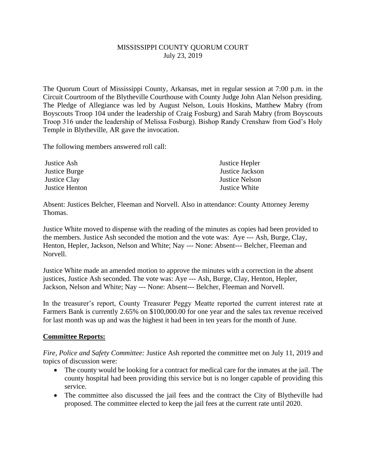## MISSISSIPPI COUNTY QUORUM COURT July 23, 2019

The Quorum Court of Mississippi County, Arkansas, met in regular session at 7:00 p.m. in the Circuit Courtroom of the Blytheville Courthouse with County Judge John Alan Nelson presiding. The Pledge of Allegiance was led by August Nelson, Louis Hoskins, Matthew Mabry (from Boyscouts Troop 104 under the leadership of Craig Fosburg) and Sarah Mabry (from Boyscouts Troop 316 under the leadership of Melissa Fosburg). Bishop Randy Crenshaw from God's Holy Temple in Blytheville, AR gave the invocation.

The following members answered roll call:

| Justice Ash    | Justice Hepler        |
|----------------|-----------------------|
| Justice Burge  | Justice Jackson       |
| Justice Clay   | <b>Justice Nelson</b> |
| Justice Henton | Justice White         |

Absent: Justices Belcher, Fleeman and Norvell. Also in attendance: County Attorney Jeremy Thomas.

Justice White moved to dispense with the reading of the minutes as copies had been provided to the members. Justice Ash seconded the motion and the vote was: Aye --- Ash, Burge, Clay, Henton, Hepler, Jackson, Nelson and White; Nay --- None: Absent--- Belcher, Fleeman and Norvell.

Justice White made an amended motion to approve the minutes with a correction in the absent justices, Justice Ash seconded. The vote was: Aye --- Ash, Burge, Clay, Henton, Hepler, Jackson, Nelson and White; Nay --- None: Absent--- Belcher, Fleeman and Norvell.

In the treasurer's report, County Treasurer Peggy Meatte reported the current interest rate at Farmers Bank is currently 2.65% on \$100,000.00 for one year and the sales tax revenue received for last month was up and was the highest it had been in ten years for the month of June.

## **Committee Reports:**

*Fire, Police and Safety Committee:* Justice Ash reported the committee met on July 11, 2019 and topics of discussion were:

- The county would be looking for a contract for medical care for the inmates at the jail. The county hospital had been providing this service but is no longer capable of providing this service.
- The committee also discussed the jail fees and the contract the City of Blytheville had proposed. The committee elected to keep the jail fees at the current rate until 2020.